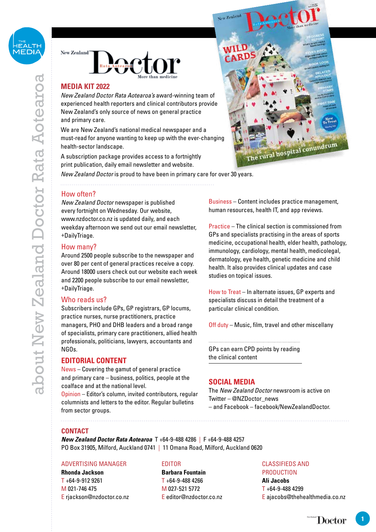



### **MEDIA KIT 2022**

*New Zealand Doctor Rata Aotearoa's* award-winning team of experienced health reporters and clinical contributors provide New Zealand's only source of news on general practice and primary care.

We are New Zealand's national medical newspaper and a must-read for anyone wanting to keep up with the ever-changing health-sector landscape.

A subscription package provides access to a fortnightly print publication, daily email newsletter and website.

*New Zealand Doctor* is proud to have been in primary care for over 30 years.

# How often?

*New Zealand Doctor* newspaper is published every fortnight on Wednesday. Our website, www.nzdoctor.co.nz is updated daily, and each weekday afternoon we send out our email newsletter, +DailyTriage.

#### How many?

Around 2500 people subscribe to the newspaper and over 80 per cent of general practices receive a copy. Around 18000 users check out our website each week and 2200 people subscribe to our email newsletter, +DailyTriage.

#### Who reads us?

Subscribers include GPs, GP registrars, GP locums, practice nurses, nurse practitioners, practice managers, PHO and DHB leaders and a broad range of specialists, primary care practitioners, allied health professionals, politicians, lawyers, accountants and NGOs.

#### **EDITORIAL CONTENT**

News – Covering the gamut of general practice and primary care – business, politics, people at the coalface and at the national level.

Opinion – Editor's column, invited contributors, regular columnists and letters to the editor. Regular bulletins from sector groups.

Business – Content includes practice management, human resources, health IT, and app reviews.

Practice – The clinical section is commissioned from GPs and specialists practising in the areas of sports medicine, occupational health, elder health, pathology, immunology, cardiology, mental health, medicolegal, dermatology, eye health, genetic medicine and child health. It also provides clinical updates and case studies on topical issues.

How to Treat – In alternate issues, GP experts and specialists discuss in detail the treatment of a particular clinical condition.

Off duty – Music, film, travel and other miscellany

GPs can earn CPD points by reading the clinical content

#### **SOCIAL MEDIA**

The *New Zealand Doctor* newsroom is active on Twitter – @NZDoctor\_news – and Facebook – facebook/NewZealandDoctor.

#### **CONTACT**

*New Zealand Doctor Rata Aotearoa* T +64-9-488 4286 | F +64-9-488 4257 PO Box 31905, Milford, Auckland 0741 | 11 Omana Road, Milford, Auckland 0620

#### ADVERTISING MANAGER

**Rhonda Jackson**  $T + 64 - 9 - 9129261$ M 021-746 475 E rjackson@nzdoctor.co.nz

#### EDITOR

**Barbara Fountain**  $T + 64 - 9 - 488$  4266 M 027-521 5772 E editor@nzdoctor.co.nz

#### CLASSIFIEDS AND **PRODUCTION**

**Ali Jacobs**  $T + 64 - 9 - 4884$ E ajacobs@thehealthmedia.co.nz

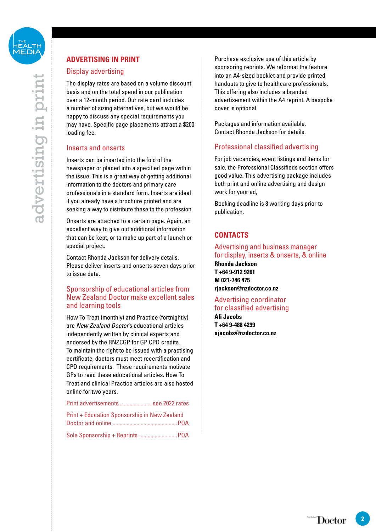# **ADVERTISING IN PRINT**

# Display advertising

The display rates are based on a volume discount basis and on the total spend in our publication over a 12-month period. Our rate card includes a number of sizing alternatives, but we would be happy to discuss any special requirements you may have. Specific page placements attract a \$200 loading fee.

# Inserts and onserts

Inserts can be inserted into the fold of the newspaper or placed into a specified page within the issue. This is a great way of getting additional information to the doctors and primary care professionals in a standard form. Inserts are ideal if you already have a brochure printed and are seeking a way to distribute these to the profession.

Onserts are attached to a certain page. Again, an excellent way to give out additional information that can be kept, or to make up part of a launch or special project.

Contact Rhonda Jackson for delivery details. Please deliver inserts and onserts seven days prior to issue date.

# Sponsorship of educational articles from New Zealand Doctor make excellent sales and learning tools

How To Treat (monthly) and Practice (fortnightly) are *New Zealand Doctor*'s educational articles independently written by clinical experts and endorsed by the RNZCGP for GP CPD credits. To maintain the right to be issued with a practising certificate, doctors must meet recertification and CPD requirements. These requirements motivate GPs to read these educational articles. How To Treat and clinical Practice articles are also hosted online for two years.

Print advertisements ....................... see 2022 rates

| Print + Education Sponsorship in New Zealand |  |
|----------------------------------------------|--|
|                                              |  |
|                                              |  |

Purchase exclusive use of this article by sponsoring reprints. We reformat the feature into an A4-sized booklet and provide printed handouts to give to healthcare professionals. This offering also includes a branded advertisement within the A4 reprint. A bespoke cover is optional.

Packages and information available. Contact Rhonda Jackson for details.

# Professional classified advertising

For job vacancies, event listings and items for sale, the Professional Classifieds section offers good value. This advertising package includes both print and online advertising and design work for your ad,

Booking deadline is 8 working days prior to publication.

# **CONTACTS**

# Advertising and business manager for display, inserts & onserts, & online

**Rhonda Jackson T +64 9-912 9261 M 021-746 475 rjackson@nzdoctor.co.nz**

# Advertising coordinator

for classified advertising **Ali Jacobs T +64 9-488 4299 ajacobs@nzdoctor.co.nz**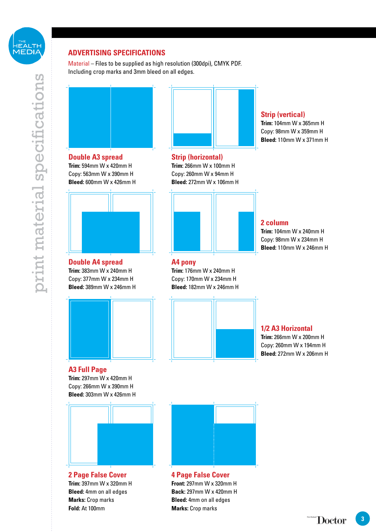

# print material specifications print material specifications

# **ADVERTISING SPECIFICATIONS**

Material – Files to be supplied as high resolution (300dpi), CMYK PDF. Including crop marks and 3mm bleed on all edges.



**Trim:** 594mm W x 420mm H Copy: 563mm W x 390mm H **Bleed:** 600mm W x 426mm H



**Double A4 spread Trim:** 383mm W x 240mm H Copy: 377mm W x 234mm H **Bleed:** 389mm W x 246mm H



# **A3 Full Page**

**Trim:** 297mm W x 420mm H Copy: 266mm W x 390mm H **Bleed:** 303mm W x 426mm H



**2 Page False Cover Trim:** 397mm W x 320mm H **Bleed:** 4mm on all edges **Marks:** Crop marks **Fold:** At 100mm

# **Strip (horizontal)**

**Trim:** 266mm W x 100mm H Copy: 260mm W x 94mm H **Bleed:** 272mm W x 106mm H



# **A4 pony**

**Trim:** 176mm W x 240mm H Copy: 170mm W x 234mm H **Bleed:** 182mm W x 246mm H



# **Strip (vertical)**

**Trim:** 104mm W x 365mm H Copy: 98mm W x 359mm H **Bleed:** 110mm W x 371mm H

#### **2 column**

**Trim:** 104mm W x 240mm H Copy: 98mm W x 234mm H **Bleed:** 110mm W x 246mm H

# **1/2 A3 Horizontal**

**Trim:** 266mm W x 200mm H Copy: 260mm W x 194mm H **Bleed:** 272mm W x 206mm H



**4 Page False Cover Front:** 297mm W x 320mm H **Back:** 297mm W x 420mm H **Bleed:** 4mm on all edges **Marks:** Crop marks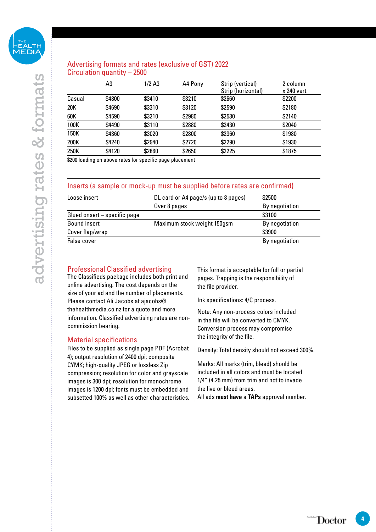# Advertising formats and rates (exclusive of GST) 2022 Circulation quantity – 2500

|        | A3     | $1/2$ A <sub>3</sub> | A4 Pony | Strip (vertical)<br>Strip (horizontal) | 2 column<br>x 240 vert |
|--------|--------|----------------------|---------|----------------------------------------|------------------------|
| Casual | \$4800 | \$3410               | \$3210  | \$2660                                 | \$2200                 |
| 20K    | \$4690 | \$3310               | \$3120  | \$2590                                 | \$2180                 |
| 60K    | \$4590 | \$3210               | \$2980  | \$2530                                 | \$2140                 |
| 100K   | \$4490 | \$3110               | \$2880  | \$2430                                 | \$2040                 |
| 150K   | \$4360 | \$3020               | \$2800  | \$2360                                 | \$1980                 |
| 200K   | \$4240 | \$2940               | \$2720  | \$2290                                 | \$1930                 |
| 250K   | \$4120 | \$2860               | \$2650  | \$2225                                 | \$1875                 |

\$200 loading on above rates for specific page placement

#### Inserts (a sample or mock-up must be supplied before rates are confirmed)

| Loose insert                 | DL card or A4 page/s (up to 8 pages) | \$2500         |
|------------------------------|--------------------------------------|----------------|
|                              | Over 8 pages                         | By negotiation |
| Glued onsert – specific page |                                      | \$3100         |
| Bound insert                 | Maximum stock weight 150gsm          | By negotiation |
| Cover flap/wrap              |                                      | \$3900         |
| False cover                  |                                      | By negotiation |

### Professional Classified advertising

The Classifieds package includes both print and online advertising. The cost depends on the size of your ad and the number of placements. Please contact Ali Jacobs at ajacobs@ thehealthmedia.co.nz for a quote and more information. Classified advertising rates are noncommission bearing.

#### Material specifications

Files to be supplied as single page PDF (Acrobat 4); output resolution of 2400 dpi; composite CYMK; high-quality JPEG or lossless Zip compression; resolution for color and grayscale images is 300 dpi; resolution for monochrome images is 1200 dpi; fonts must be embedded and subsetted 100% as well as other characteristics. This format is acceptable for full or partial pages. Trapping is the responsibility of the file provider.

Ink specifications: 4/C process.

Note: Any non-process colors included in the file will be converted to CMYK. Conversion process may compromise the integrity of the file.

Density: Total density should not exceed 300%.

Marks: All marks (trim, bleed) should be included in all colors and must be located 1/4" (4.25 mm) from trim and not to invade the live or bleed areas. All ads **must have** a **TAPs** approval number.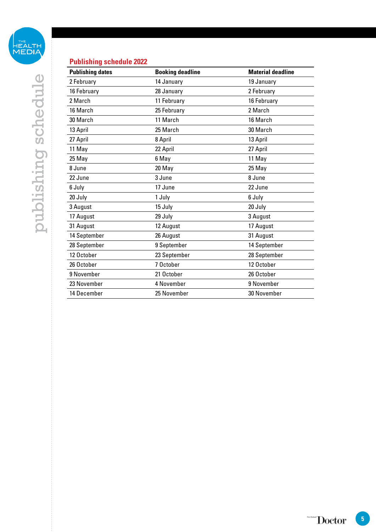

# **Publishing schedule 2022**

| <b>Publishing dates</b> | <b>Booking deadline</b> | <b>Material deadline</b> |
|-------------------------|-------------------------|--------------------------|
| 2 February              | 14 January              | 19 January               |
| 16 February             | 28 January              | 2 February               |
| 2 March                 | 11 February             | 16 February              |
| 16 March                | 25 February             | 2 March                  |
| 30 March                | 11 March                | 16 March                 |
| 13 April                | 25 March                | 30 March                 |
| 27 April                | 8 April                 | 13 April                 |
| 11 May                  | 22 April                | 27 April                 |
| 25 May                  | 6 May                   | 11 May                   |
| 8 June                  | 20 May                  | 25 May                   |
| 22 June                 | 3 June                  | 8 June                   |
| 6 July                  | 17 June                 | 22 June                  |
| 20 July                 | 1 July                  | 6 July                   |
| 3 August                | 15 July                 | 20 July                  |
| 17 August               | 29 July                 | 3 August                 |
| 31 August               | 12 August               | 17 August                |
| 14 September            | 26 August               | 31 August                |
| 28 September            | 9 September             | 14 September             |
| 12 October              | 23 September            | 28 September             |
| 26 October              | 7 October               | 12 October               |
| 9 November              | 21 October              | 26 October               |
| 23 November             | 4 November              | 9 November               |
| 14 December             | 25 November             | 30 November              |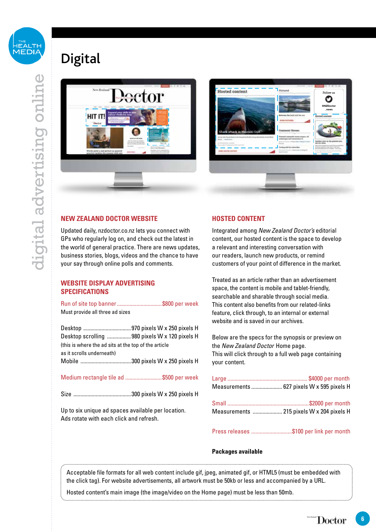

# Digital





### **NEW ZEALAND DOCTOR WEBSITE**

Updated daily, nzdoctor.co.nz lets you connect with GPs who regularly log on, and check out the latest in the world of general practice. There are news updates, business stories, blogs, videos and the chance to have your say through online polls and comments.

### **WEBSITE DISPLAY ADVERTISING SPECIFICATIONS**

Run of site top banner................................\$800 per week Must provide all three ad sizes

| Desktop scrolling  980 pixels W x 120 pixels H       |  |
|------------------------------------------------------|--|
| (this is where the ad sits at the top of the article |  |
| as it scrolls underneath)                            |  |
|                                                      |  |
|                                                      |  |

#### Medium rectangle tile ad ..........................\$500 per week

Size .........................................300 pixels W x 250 pixels H

Up to six unique ad spaces available per location. Ads rotate with each click and refresh.

#### **HOSTED CONTENT**

Integrated among *New Zealand Doctor's* editorial content, our hosted content is the space to develop a relevant and interesting conversation with our readers, launch new products, or remind customers of your point of difference in the market.

Treated as an article rather than an advertisement space, the content is mobile and tablet-friendly, searchable and sharable through social media. This content also benefits from our related-links feature, click through, to an internal or external website and is saved in our archives.

Below are the specs for the synopsis or preview on the *New Zealand Doctor* Home page. This will click through to a full web page containing your content.

| Measurements  627 pixels W x 595 pixels H |
|-------------------------------------------|
|                                           |
|                                           |
| Measurements  215 pixels W x 204 pixels H |
|                                           |

Press releases .............................\$100 per link per month

#### **Packages available**

Acceptable file formats for all web content include gif, jpeg, animated gif, or HTML5 (must be embedded with the click tag). For website advertisements, all artwork must be 50kb or less and accompanied by a URL.

Hosted content's main image (the image/video on the Home page) must be less than 50mb.